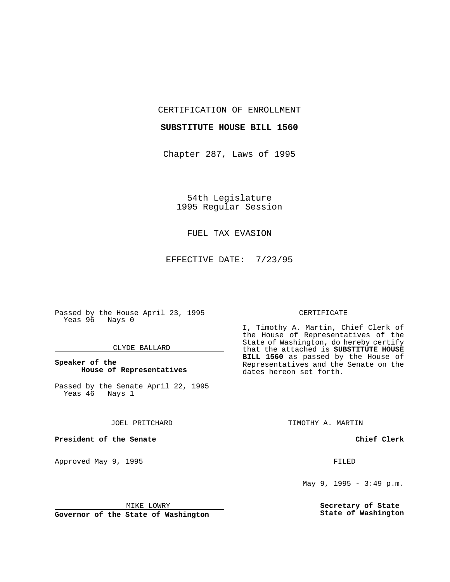CERTIFICATION OF ENROLLMENT

#### **SUBSTITUTE HOUSE BILL 1560**

Chapter 287, Laws of 1995

54th Legislature 1995 Regular Session

### FUEL TAX EVASION

EFFECTIVE DATE: 7/23/95

Passed by the House April 23, 1995 Yeas 96 Nays 0

#### CLYDE BALLARD

#### **Speaker of the House of Representatives**

Passed by the Senate April 22, 1995<br>Yeas 46 Nays 1 Yeas 46

#### JOEL PRITCHARD

**President of the Senate**

Approved May 9, 1995 **FILED** 

#### MIKE LOWRY

**Governor of the State of Washington**

#### CERTIFICATE

I, Timothy A. Martin, Chief Clerk of the House of Representatives of the State of Washington, do hereby certify that the attached is **SUBSTITUTE HOUSE BILL 1560** as passed by the House of Representatives and the Senate on the dates hereon set forth.

TIMOTHY A. MARTIN

#### **Chief Clerk**

May 9, 1995 - 3:49 p.m.

**Secretary of State State of Washington**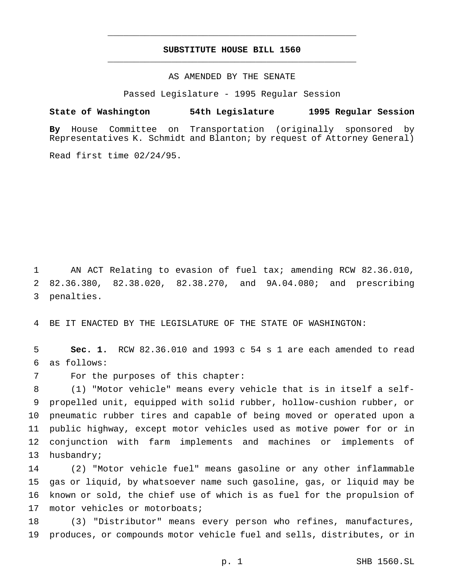## **SUBSTITUTE HOUSE BILL 1560** \_\_\_\_\_\_\_\_\_\_\_\_\_\_\_\_\_\_\_\_\_\_\_\_\_\_\_\_\_\_\_\_\_\_\_\_\_\_\_\_\_\_\_\_\_\_\_

\_\_\_\_\_\_\_\_\_\_\_\_\_\_\_\_\_\_\_\_\_\_\_\_\_\_\_\_\_\_\_\_\_\_\_\_\_\_\_\_\_\_\_\_\_\_\_

#### AS AMENDED BY THE SENATE

Passed Legislature - 1995 Regular Session

#### **State of Washington 54th Legislature 1995 Regular Session**

**By** House Committee on Transportation (originally sponsored by Representatives K. Schmidt and Blanton; by request of Attorney General)

Read first time 02/24/95.

 AN ACT Relating to evasion of fuel tax; amending RCW 82.36.010, 82.36.380, 82.38.020, 82.38.270, and 9A.04.080; and prescribing penalties.

BE IT ENACTED BY THE LEGISLATURE OF THE STATE OF WASHINGTON:

 **Sec. 1.** RCW 82.36.010 and 1993 c 54 s 1 are each amended to read as follows:

For the purposes of this chapter:

 (1) "Motor vehicle" means every vehicle that is in itself a self- propelled unit, equipped with solid rubber, hollow-cushion rubber, or pneumatic rubber tires and capable of being moved or operated upon a public highway, except motor vehicles used as motive power for or in conjunction with farm implements and machines or implements of husbandry;

 (2) "Motor vehicle fuel" means gasoline or any other inflammable gas or liquid, by whatsoever name such gasoline, gas, or liquid may be known or sold, the chief use of which is as fuel for the propulsion of 17 motor vehicles or motorboats;

 (3) "Distributor" means every person who refines, manufactures, produces, or compounds motor vehicle fuel and sells, distributes, or in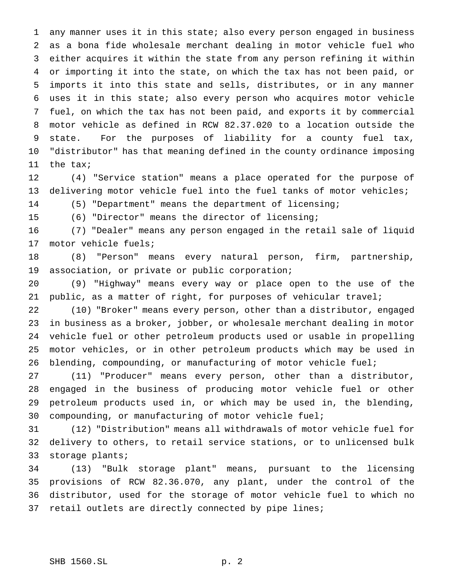any manner uses it in this state; also every person engaged in business as a bona fide wholesale merchant dealing in motor vehicle fuel who either acquires it within the state from any person refining it within or importing it into the state, on which the tax has not been paid, or imports it into this state and sells, distributes, or in any manner uses it in this state; also every person who acquires motor vehicle fuel, on which the tax has not been paid, and exports it by commercial motor vehicle as defined in RCW 82.37.020 to a location outside the state. For the purposes of liability for a county fuel tax, "distributor" has that meaning defined in the county ordinance imposing the tax;

 (4) "Service station" means a place operated for the purpose of delivering motor vehicle fuel into the fuel tanks of motor vehicles;

(5) "Department" means the department of licensing;

(6) "Director" means the director of licensing;

 (7) "Dealer" means any person engaged in the retail sale of liquid motor vehicle fuels;

 (8) "Person" means every natural person, firm, partnership, association, or private or public corporation;

 (9) "Highway" means every way or place open to the use of the public, as a matter of right, for purposes of vehicular travel;

 (10) "Broker" means every person, other than a distributor, engaged in business as a broker, jobber, or wholesale merchant dealing in motor vehicle fuel or other petroleum products used or usable in propelling motor vehicles, or in other petroleum products which may be used in blending, compounding, or manufacturing of motor vehicle fuel;

 (11) "Producer" means every person, other than a distributor, engaged in the business of producing motor vehicle fuel or other petroleum products used in, or which may be used in, the blending, compounding, or manufacturing of motor vehicle fuel;

 (12) "Distribution" means all withdrawals of motor vehicle fuel for delivery to others, to retail service stations, or to unlicensed bulk storage plants;

 (13) "Bulk storage plant" means, pursuant to the licensing provisions of RCW 82.36.070, any plant, under the control of the distributor, used for the storage of motor vehicle fuel to which no 37 retail outlets are directly connected by pipe lines;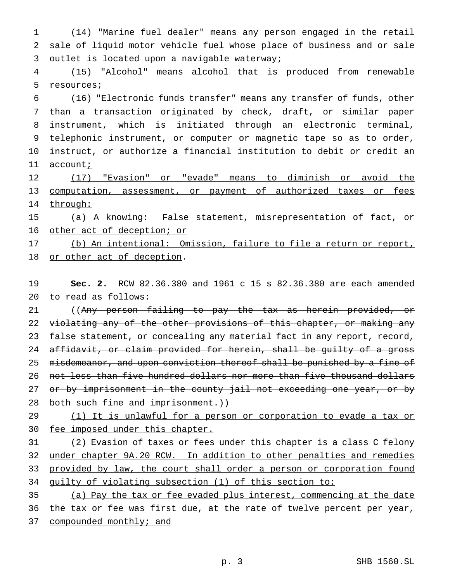(14) "Marine fuel dealer" means any person engaged in the retail sale of liquid motor vehicle fuel whose place of business and or sale outlet is located upon a navigable waterway;

 (15) "Alcohol" means alcohol that is produced from renewable resources;

 (16) "Electronic funds transfer" means any transfer of funds, other than a transaction originated by check, draft, or similar paper instrument, which is initiated through an electronic terminal, telephonic instrument, or computer or magnetic tape so as to order, instruct, or authorize a financial institution to debit or credit an 11 account;

 (17) "Evasion" or "evade" means to diminish or avoid the computation, assessment, or payment of authorized taxes or fees 14 through:

 (a) A knowing: False statement, misrepresentation of fact, or 16 other act of deception; or

 (b) An intentional: Omission, failure to file a return or report, or other act of deception.

 **Sec. 2.** RCW 82.36.380 and 1961 c 15 s 82.36.380 are each amended to read as follows:

 ((Any person failing to pay the tax as herein provided, or 22 violating any of the other provisions of this chapter, or making any 23 false statement, or concealing any material fact in any report, record, affidavit, or claim provided for herein, shall be guilty of a gross 25 misdemeanor, and upon conviction thereof shall be punished by a fine of not less than five hundred dollars nor more than five thousand dollars 27 or by imprisonment in the county jail not exceeding one year, or by 28 both such fine and imprisonment.))

# 29 (1) It is unlawful for a person or corporation to evade a tax or fee imposed under this chapter.

 (2) Evasion of taxes or fees under this chapter is a class C felony under chapter 9A.20 RCW. In addition to other penalties and remedies 33 provided by law, the court shall order a person or corporation found guilty of violating subsection (1) of this section to:

(a) Pay the tax or fee evaded plus interest, commencing at the date

36 the tax or fee was first due, at the rate of twelve percent per year,

37 compounded monthly; and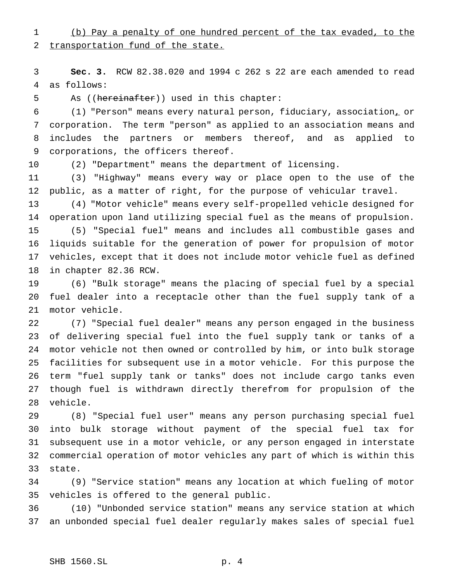## (b) Pay a penalty of one hundred percent of the tax evaded, to the 2 transportation fund of the state.

 **Sec. 3.** RCW 82.38.020 and 1994 c 262 s 22 are each amended to read as follows:

5 As ((hereinafter)) used in this chapter:

 (1) "Person" means every natural person, fiduciary, association, or corporation. The term "person" as applied to an association means and includes the partners or members thereof, and as applied to corporations, the officers thereof.

(2) "Department" means the department of licensing.

 (3) "Highway" means every way or place open to the use of the public, as a matter of right, for the purpose of vehicular travel.

 (4) "Motor vehicle" means every self-propelled vehicle designed for operation upon land utilizing special fuel as the means of propulsion. (5) "Special fuel" means and includes all combustible gases and liquids suitable for the generation of power for propulsion of motor vehicles, except that it does not include motor vehicle fuel as defined in chapter 82.36 RCW.

 (6) "Bulk storage" means the placing of special fuel by a special fuel dealer into a receptacle other than the fuel supply tank of a motor vehicle.

 (7) "Special fuel dealer" means any person engaged in the business of delivering special fuel into the fuel supply tank or tanks of a motor vehicle not then owned or controlled by him, or into bulk storage facilities for subsequent use in a motor vehicle. For this purpose the term "fuel supply tank or tanks" does not include cargo tanks even though fuel is withdrawn directly therefrom for propulsion of the vehicle.

 (8) "Special fuel user" means any person purchasing special fuel into bulk storage without payment of the special fuel tax for subsequent use in a motor vehicle, or any person engaged in interstate commercial operation of motor vehicles any part of which is within this state.

 (9) "Service station" means any location at which fueling of motor vehicles is offered to the general public.

 (10) "Unbonded service station" means any service station at which an unbonded special fuel dealer regularly makes sales of special fuel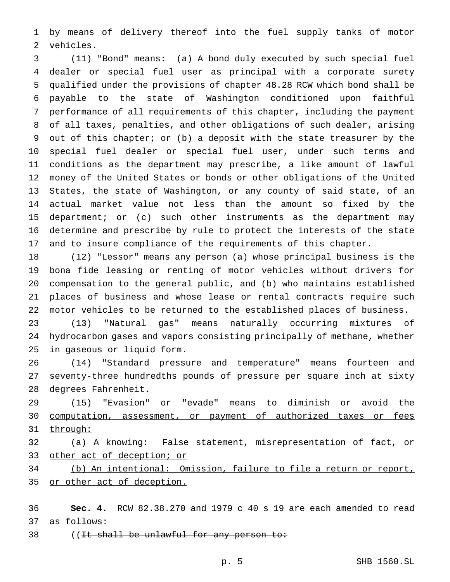by means of delivery thereof into the fuel supply tanks of motor vehicles.

 (11) "Bond" means: (a) A bond duly executed by such special fuel dealer or special fuel user as principal with a corporate surety qualified under the provisions of chapter 48.28 RCW which bond shall be payable to the state of Washington conditioned upon faithful performance of all requirements of this chapter, including the payment of all taxes, penalties, and other obligations of such dealer, arising out of this chapter; or (b) a deposit with the state treasurer by the special fuel dealer or special fuel user, under such terms and conditions as the department may prescribe, a like amount of lawful money of the United States or bonds or other obligations of the United States, the state of Washington, or any county of said state, of an actual market value not less than the amount so fixed by the department; or (c) such other instruments as the department may determine and prescribe by rule to protect the interests of the state and to insure compliance of the requirements of this chapter.

 (12) "Lessor" means any person (a) whose principal business is the bona fide leasing or renting of motor vehicles without drivers for compensation to the general public, and (b) who maintains established places of business and whose lease or rental contracts require such motor vehicles to be returned to the established places of business.

 (13) "Natural gas" means naturally occurring mixtures of hydrocarbon gases and vapors consisting principally of methane, whether in gaseous or liquid form.

 (14) "Standard pressure and temperature" means fourteen and seventy-three hundredths pounds of pressure per square inch at sixty degrees Fahrenheit.

 (15) "Evasion" or "evade" means to diminish or avoid the computation, assessment, or payment of authorized taxes or fees 31 through:

 (a) A knowing: False statement, misrepresentation of fact, or 33 other act of deception; or

 (b) An intentional: Omission, failure to file a return or report, or other act of deception.

 **Sec. 4.** RCW 82.38.270 and 1979 c 40 s 19 are each amended to read as follows:

38 ((It shall be unlawful for any person to: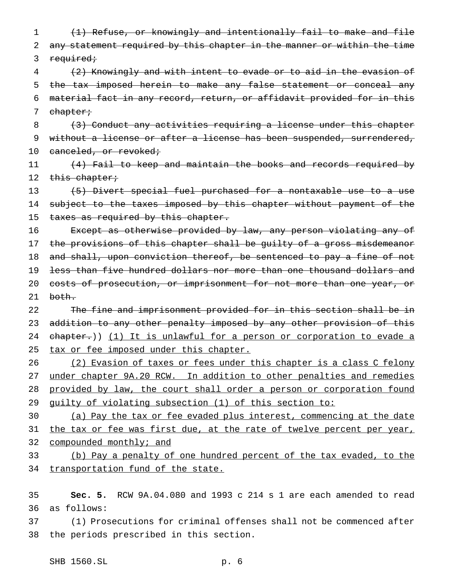1 (1) Refuse, or knowingly and intentionally fail to make and file 2 any statement required by this chapter in the manner or within the time 3 required;

 (2) Knowingly and with intent to evade or to aid in the evasion of the tax imposed herein to make any false statement or conceal any material fact in any record, return, or affidavit provided for in this 7 chapter;

8 (3) Conduct any activities requiring a license under this chapter 9 without a license or after a license has been suspended, surrendered, 10 canceled, or revoked;

11 (4) Fail to keep and maintain the books and records required by 12 this chapter;

13 (5) Divert special fuel purchased for a nontaxable use to a use 14 subject to the taxes imposed by this chapter without payment of the 15 taxes as required by this chapter.

16 Except as otherwise provided by law, any person violating any of 17 the provisions of this chapter shall be guilty of a gross misdemeanor 18 and shall, upon conviction thereof, be sentenced to pay a fine of not 19 less than five hundred dollars nor more than one thousand dollars and 20 costs of prosecution, or imprisonment for not more than one year, or  $21$  both.

22 The fine and imprisonment provided for in this section shall be in 23 addition to any other penalty imposed by any other provision of this 24 chapter.)) (1) It is unlawful for a person or corporation to evade a 25 tax or fee imposed under this chapter.

26 (2) Evasion of taxes or fees under this chapter is a class C felony 27 under chapter 9A.20 RCW. In addition to other penalties and remedies 28 provided by law, the court shall order a person or corporation found 29 guilty of violating subsection (1) of this section to:

30 (a) Pay the tax or fee evaded plus interest, commencing at the date 31 the tax or fee was first due, at the rate of twelve percent per year, 32 compounded monthly; and

33 (b) Pay a penalty of one hundred percent of the tax evaded, to the 34 transportation fund of the state.

35 **Sec. 5.** RCW 9A.04.080 and 1993 c 214 s 1 are each amended to read 36 as follows:

37 (1) Prosecutions for criminal offenses shall not be commenced after 38 the periods prescribed in this section.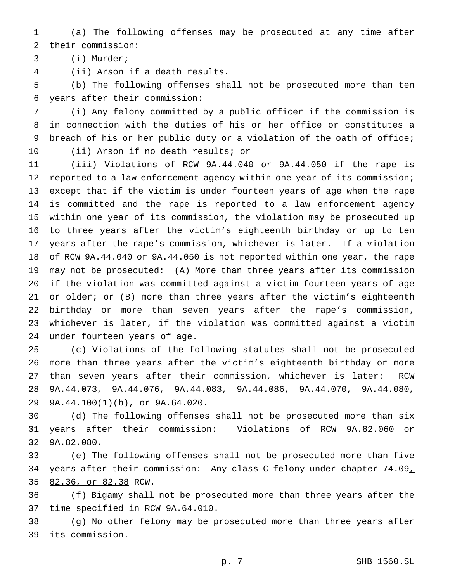(a) The following offenses may be prosecuted at any time after their commission:

(i) Murder;

(ii) Arson if a death results.

 (b) The following offenses shall not be prosecuted more than ten years after their commission:

 (i) Any felony committed by a public officer if the commission is in connection with the duties of his or her office or constitutes a breach of his or her public duty or a violation of the oath of office; (ii) Arson if no death results; or

 (iii) Violations of RCW 9A.44.040 or 9A.44.050 if the rape is reported to a law enforcement agency within one year of its commission; except that if the victim is under fourteen years of age when the rape is committed and the rape is reported to a law enforcement agency within one year of its commission, the violation may be prosecuted up to three years after the victim's eighteenth birthday or up to ten years after the rape's commission, whichever is later. If a violation of RCW 9A.44.040 or 9A.44.050 is not reported within one year, the rape may not be prosecuted: (A) More than three years after its commission if the violation was committed against a victim fourteen years of age 21 or older; or (B) more than three years after the victim's eighteenth birthday or more than seven years after the rape's commission, whichever is later, if the violation was committed against a victim under fourteen years of age.

 (c) Violations of the following statutes shall not be prosecuted more than three years after the victim's eighteenth birthday or more than seven years after their commission, whichever is later: RCW 9A.44.073, 9A.44.076, 9A.44.083, 9A.44.086, 9A.44.070, 9A.44.080, 9A.44.100(1)(b), or 9A.64.020.

 (d) The following offenses shall not be prosecuted more than six years after their commission: Violations of RCW 9A.82.060 or 9A.82.080.

 (e) The following offenses shall not be prosecuted more than five 34 years after their commission: Any class C felony under chapter 74.09, 82.36, or 82.38 RCW.

 (f) Bigamy shall not be prosecuted more than three years after the time specified in RCW 9A.64.010.

 (g) No other felony may be prosecuted more than three years after its commission.